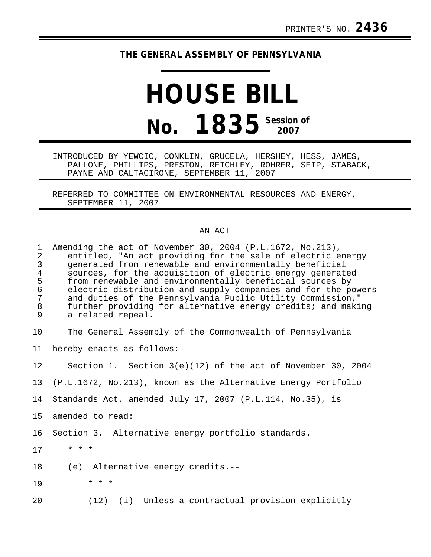## **THE GENERAL ASSEMBLY OF PENNSYLVANIA**

## **HOUSE BILL No. 1835 Session of**

INTRODUCED BY YEWCIC, CONKLIN, GRUCELA, HERSHEY, HESS, JAMES, PALLONE, PHILLIPS, PRESTON, REICHLEY, ROHRER, SEIP, STABACK, PAYNE AND CALTAGIRONE, SEPTEMBER 11, 2007

REFERRED TO COMMITTEE ON ENVIRONMENTAL RESOURCES AND ENERGY, SEPTEMBER 11, 2007

## AN ACT

| $\mathbf{1}$<br>2<br>3<br>$\overline{\mathbf{4}}$<br>5<br>$\epsilon$<br>$\boldsymbol{7}$<br>$\,8\,$<br>9 | Amending the act of November 30, 2004 (P.L.1672, No.213),<br>entitled, "An act providing for the sale of electric energy<br>generated from renewable and environmentally beneficial<br>sources, for the acquisition of electric energy generated<br>from renewable and environmentally beneficial sources by<br>electric distribution and supply companies and for the powers<br>and duties of the Pennsylvania Public Utility Commission,"<br>further providing for alternative energy credits; and making<br>a related repeal. |
|----------------------------------------------------------------------------------------------------------|----------------------------------------------------------------------------------------------------------------------------------------------------------------------------------------------------------------------------------------------------------------------------------------------------------------------------------------------------------------------------------------------------------------------------------------------------------------------------------------------------------------------------------|
| 10                                                                                                       | The General Assembly of the Commonwealth of Pennsylvania                                                                                                                                                                                                                                                                                                                                                                                                                                                                         |
| 11                                                                                                       | hereby enacts as follows:                                                                                                                                                                                                                                                                                                                                                                                                                                                                                                        |
| 12                                                                                                       | Section 1. Section $3(e)(12)$ of the act of November 30, 2004                                                                                                                                                                                                                                                                                                                                                                                                                                                                    |
| 13 <sup>°</sup>                                                                                          | (P.L.1672, No.213), known as the Alternative Energy Portfolio                                                                                                                                                                                                                                                                                                                                                                                                                                                                    |
| 14                                                                                                       | Standards Act, amended July 17, 2007 (P.L.114, No.35), is                                                                                                                                                                                                                                                                                                                                                                                                                                                                        |
| 15                                                                                                       | amended to read:                                                                                                                                                                                                                                                                                                                                                                                                                                                                                                                 |
| 16                                                                                                       | Section 3. Alternative energy portfolio standards.                                                                                                                                                                                                                                                                                                                                                                                                                                                                               |
| 17                                                                                                       | $* * *$                                                                                                                                                                                                                                                                                                                                                                                                                                                                                                                          |
| 18                                                                                                       | (e) Alternative energy credits.--                                                                                                                                                                                                                                                                                                                                                                                                                                                                                                |
| 19                                                                                                       | * * *                                                                                                                                                                                                                                                                                                                                                                                                                                                                                                                            |
| 20                                                                                                       | $(12)$ $(i)$ Unless a contractual provision explicitly                                                                                                                                                                                                                                                                                                                                                                                                                                                                           |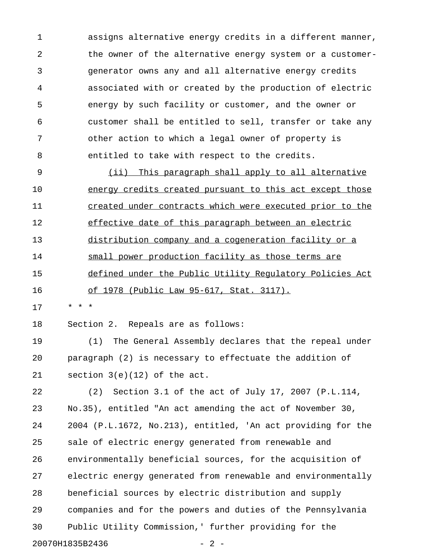1 assigns alternative energy credits in a different manner, 2 the owner of the alternative energy system or a customer-3 generator owns any and all alternative energy credits 4 associated with or created by the production of electric 5 energy by such facility or customer, and the owner or 6 customer shall be entitled to sell, transfer or take any 7 other action to which a legal owner of property is 8 entitled to take with respect to the credits.

9 (ii) This paragraph shall apply to all alternative 10 energy credits created pursuant to this act except those 11 created under contracts which were executed prior to the 12 effective date of this paragraph between an electric 13 distribution company and a cogeneration facility or a 14 small power production facility as those terms are 15 defined under the Public Utility Requlatory Policies Act 16 of 1978 (Public Law 95-617, Stat. 3117).

17 \* \* \*

18 Section 2. Repeals are as follows:

19 (1) The General Assembly declares that the repeal under 20 paragraph (2) is necessary to effectuate the addition of 21 section 3(e)(12) of the act.

22 (2) Section 3.1 of the act of July 17, 2007 (P.L.114, 23 No.35), entitled "An act amending the act of November 30, 24 2004 (P.L.1672, No.213), entitled, 'An act providing for the 25 sale of electric energy generated from renewable and 26 environmentally beneficial sources, for the acquisition of 27 electric energy generated from renewable and environmentally 28 beneficial sources by electric distribution and supply 29 companies and for the powers and duties of the Pennsylvania 30 Public Utility Commission,' further providing for the 20070H1835B2436 - 2 -